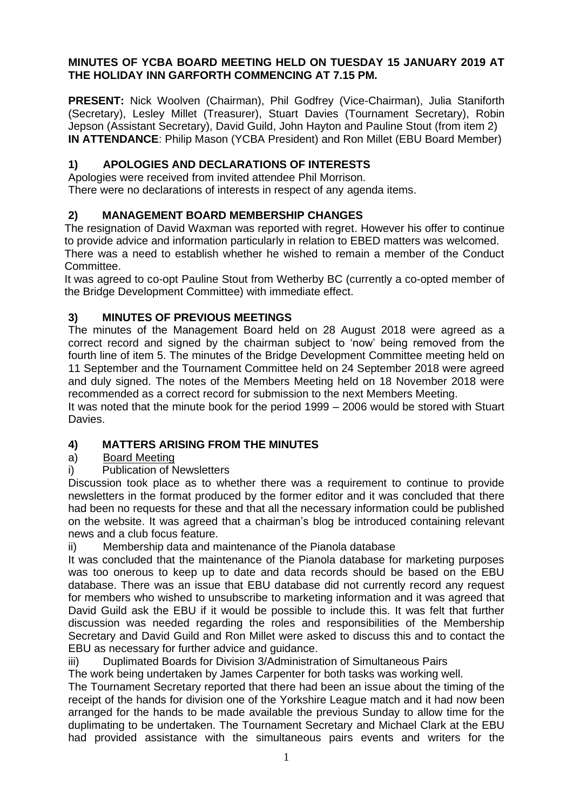### **MINUTES OF YCBA BOARD MEETING HELD ON TUESDAY 15 JANUARY 2019 AT THE HOLIDAY INN GARFORTH COMMENCING AT 7.15 PM.**

**PRESENT:** Nick Woolven (Chairman), Phil Godfrey (Vice-Chairman), Julia Staniforth (Secretary), Lesley Millet (Treasurer), Stuart Davies (Tournament Secretary), Robin Jepson (Assistant Secretary), David Guild, John Hayton and Pauline Stout (from item 2) **IN ATTENDANCE**: Philip Mason (YCBA President) and Ron Millet (EBU Board Member)

### **1) APOLOGIES AND DECLARATIONS OF INTERESTS**

Apologies were received from invited attendee Phil Morrison. There were no declarations of interests in respect of any agenda items.

# **2) MANAGEMENT BOARD MEMBERSHIP CHANGES**

The resignation of David Waxman was reported with regret. However his offer to continue to provide advice and information particularly in relation to EBED matters was welcomed. There was a need to establish whether he wished to remain a member of the Conduct **Committee.** 

It was agreed to co-opt Pauline Stout from Wetherby BC (currently a co-opted member of the Bridge Development Committee) with immediate effect.

# **3) MINUTES OF PREVIOUS MEETINGS**

The minutes of the Management Board held on 28 August 2018 were agreed as a correct record and signed by the chairman subject to 'now' being removed from the fourth line of item 5. The minutes of the Bridge Development Committee meeting held on 11 September and the Tournament Committee held on 24 September 2018 were agreed and duly signed. The notes of the Members Meeting held on 18 November 2018 were recommended as a correct record for submission to the next Members Meeting.

It was noted that the minute book for the period 1999 – 2006 would be stored with Stuart Davies.

# **4) MATTERS ARISING FROM THE MINUTES**

### a) Board Meeting

i) Publication of Newsletters

Discussion took place as to whether there was a requirement to continue to provide newsletters in the format produced by the former editor and it was concluded that there had been no requests for these and that all the necessary information could be published on the website. It was agreed that a chairman's blog be introduced containing relevant news and a club focus feature.

ii) Membership data and maintenance of the Pianola database

It was concluded that the maintenance of the Pianola database for marketing purposes was too onerous to keep up to date and data records should be based on the EBU database. There was an issue that EBU database did not currently record any request for members who wished to unsubscribe to marketing information and it was agreed that David Guild ask the EBU if it would be possible to include this. It was felt that further discussion was needed regarding the roles and responsibilities of the Membership Secretary and David Guild and Ron Millet were asked to discuss this and to contact the EBU as necessary for further advice and guidance.

iii) Duplimated Boards for Division 3/Administration of Simultaneous Pairs

The work being undertaken by James Carpenter for both tasks was working well.

The Tournament Secretary reported that there had been an issue about the timing of the receipt of the hands for division one of the Yorkshire League match and it had now been arranged for the hands to be made available the previous Sunday to allow time for the duplimating to be undertaken. The Tournament Secretary and Michael Clark at the EBU had provided assistance with the simultaneous pairs events and writers for the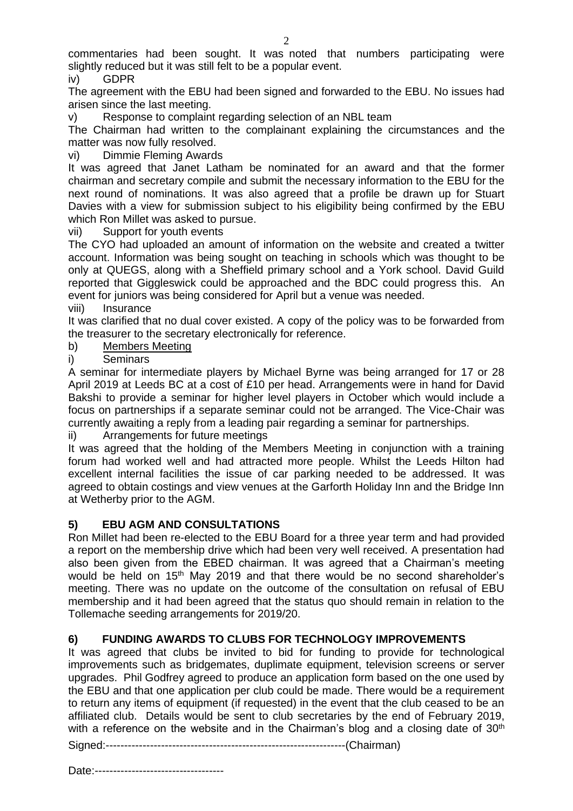commentaries had been sought. It was noted that numbers participating were slightly reduced but it was still felt to be a popular event.

iv) GDPR

The agreement with the EBU had been signed and forwarded to the EBU. No issues had arisen since the last meeting.

v) Response to complaint regarding selection of an NBL team

The Chairman had written to the complainant explaining the circumstances and the matter was now fully resolved.

vi) Dimmie Fleming Awards

It was agreed that Janet Latham be nominated for an award and that the former chairman and secretary compile and submit the necessary information to the EBU for the next round of nominations. It was also agreed that a profile be drawn up for Stuart Davies with a view for submission subject to his eligibility being confirmed by the EBU which Ron Millet was asked to pursue.

vii) Support for youth events

The CYO had uploaded an amount of information on the website and created a twitter account. Information was being sought on teaching in schools which was thought to be only at QUEGS, along with a Sheffield primary school and a York school. David Guild reported that Giggleswick could be approached and the BDC could progress this. An event for juniors was being considered for April but a venue was needed.

viii) Insurance

It was clarified that no dual cover existed. A copy of the policy was to be forwarded from the treasurer to the secretary electronically for reference.

b) Members Meeting

i) Seminars

A seminar for intermediate players by Michael Byrne was being arranged for 17 or 28 April 2019 at Leeds BC at a cost of £10 per head. Arrangements were in hand for David Bakshi to provide a seminar for higher level players in October which would include a focus on partnerships if a separate seminar could not be arranged. The Vice-Chair was currently awaiting a reply from a leading pair regarding a seminar for partnerships.

ii) Arrangements for future meetings

It was agreed that the holding of the Members Meeting in conjunction with a training forum had worked well and had attracted more people. Whilst the Leeds Hilton had excellent internal facilities the issue of car parking needed to be addressed. It was agreed to obtain costings and view venues at the Garforth Holiday Inn and the Bridge Inn at Wetherby prior to the AGM.

#### **5) EBU AGM AND CONSULTATIONS**

Ron Millet had been re-elected to the EBU Board for a three year term and had provided a report on the membership drive which had been very well received. A presentation had also been given from the EBED chairman. It was agreed that a Chairman's meeting would be held on 15<sup>th</sup> May 2019 and that there would be no second shareholder's meeting. There was no update on the outcome of the consultation on refusal of EBU membership and it had been agreed that the status quo should remain in relation to the Tollemache seeding arrangements for 2019/20.

### **6) FUNDING AWARDS TO CLUBS FOR TECHNOLOGY IMPROVEMENTS**

It was agreed that clubs be invited to bid for funding to provide for technological improvements such as bridgemates, duplimate equipment, television screens or server upgrades. Phil Godfrey agreed to produce an application form based on the one used by the EBU and that one application per club could be made. There would be a requirement to return any items of equipment (if requested) in the event that the club ceased to be an affiliated club. Details would be sent to club secretaries by the end of February 2019, with a reference on the website and in the Chairman's blog and a closing date of 30<sup>th</sup>

Signed:-----------------------------------------------------------------(Chairman)

Date:-----------------------------------